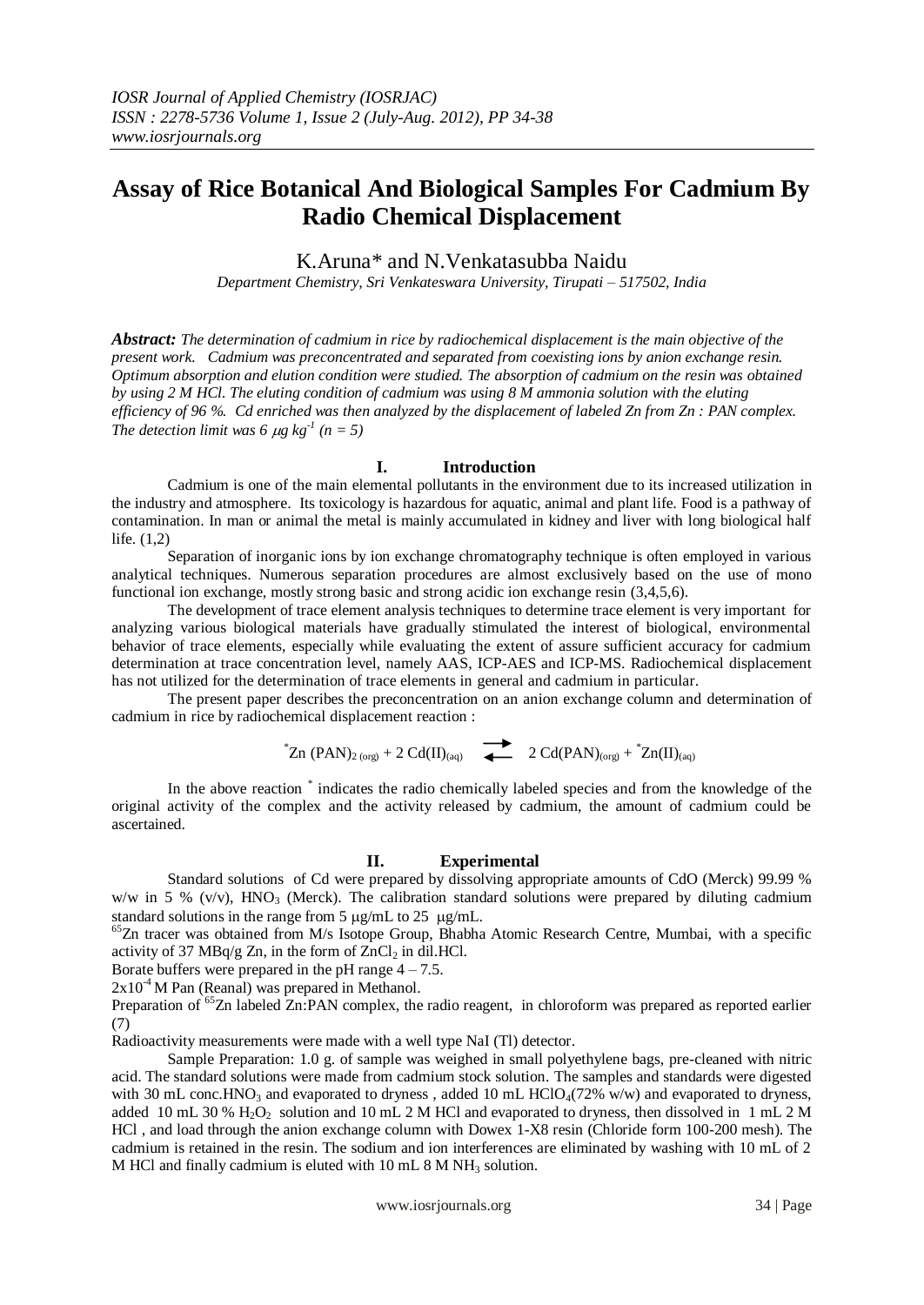# **Assay of Rice Botanical And Biological Samples For Cadmium By Radio Chemical Displacement**

K.Aruna\* and N.Venkatasubba Naidu

*Department Chemistry, Sri Venkateswara University, Tirupati – 517502, India*

*Abstract: The determination of cadmium in rice by radiochemical displacement is the main objective of the present work. Cadmium was preconcentrated and separated from coexisting ions by anion exchange resin. Optimum absorption and elution condition were studied. The absorption of cadmium on the resin was obtained by using 2 M HCl. The eluting condition of cadmium was using 8 M ammonia solution with the eluting efficiency of 96 %. Cd enriched was then analyzed by the displacement of labeled Zn from Zn : PAN complex. The detection limit was 6*  $\mu$ *g kg<sup>-1</sup> (n = 5)* 

### **I. Introduction**

Cadmium is one of the main elemental pollutants in the environment due to its increased utilization in the industry and atmosphere. Its toxicology is hazardous for aquatic, animal and plant life. Food is a pathway of contamination. In man or animal the metal is mainly accumulated in kidney and liver with long biological half life. (1,2)

Separation of inorganic ions by ion exchange chromatography technique is often employed in various analytical techniques. Numerous separation procedures are almost exclusively based on the use of mono functional ion exchange, mostly strong basic and strong acidic ion exchange resin (3,4,5,6).

The development of trace element analysis techniques to determine trace element is very important for analyzing various biological materials have gradually stimulated the interest of biological, environmental behavior of trace elements, especially while evaluating the extent of assure sufficient accuracy for cadmium determination at trace concentration level, namely AAS, ICP-AES and ICP-MS. Radiochemical displacement has not utilized for the determination of trace elements in general and cadmium in particular.

The present paper describes the preconcentration on an anion exchange column and determination of cadmium in rice by radiochemical displacement reaction :

$$
^*\!Zn\; (PAN)_{2\; (org)}+2\; Cd(\mathrm{II})_{(aq)}\quad \overrightarrow{\phantom{aa}}\quad 2\; Cd(PAN)_{(org)}+^*\!Zn(\mathrm{II})_{(aq)}
$$

In the above reaction  $*$  indicates the radio chemically labeled species and from the knowledge of the original activity of the complex and the activity released by cadmium, the amount of cadmium could be ascertained.

#### **II. Experimental**

Standard solutions of Cd were prepared by dissolving appropriate amounts of CdO (Merck) 99.99 % w/w in 5 % (v/v), HNO<sub>3</sub> (Merck). The calibration standard solutions were prepared by diluting cadmium standard solutions in the range from  $5 \mu g/mL$  to  $25 \mu g/mL$ .

<sup>65</sup>Zn tracer was obtained from M/s Isotope Group, Bhabha Atomic Research Centre, Mumbai, with a specific activity of 37 MBq/g Zn, in the form of  $ZnCl<sub>2</sub>$  in dil.HCl.

Borate buffers were prepared in the pH range  $4 - 7.5$ .

 $2x10^{-4}$  M Pan (Reanal) was prepared in Methanol.

Preparation of <sup>65</sup>Zn labeled Zn:PAN complex, the radio reagent, in chloroform was prepared as reported earlier (7)

Radioactivity measurements were made with a well type NaI (Tl) detector.

Sample Preparation: 1.0 g. of sample was weighed in small polyethylene bags, pre-cleaned with nitric acid. The standard solutions were made from cadmium stock solution. The samples and standards were digested with 30 mL conc.HNO<sub>3</sub> and evaporated to dryness, added 10 mL HClO<sub>4</sub>(72% w/w) and evaporated to dryness, added 10 mL 30 %  $H_2O_2$  solution and 10 mL 2 M HCl and evaporated to dryness, then dissolved in 1 mL 2 M HCl , and load through the anion exchange column with Dowex 1-X8 resin (Chloride form 100-200 mesh). The cadmium is retained in the resin. The sodium and ion interferences are eliminated by washing with 10 mL of 2 M HCl and finally cadmium is eluted with  $10 \text{ mL} 8 \text{ M} \text{ NH}_3$  solution.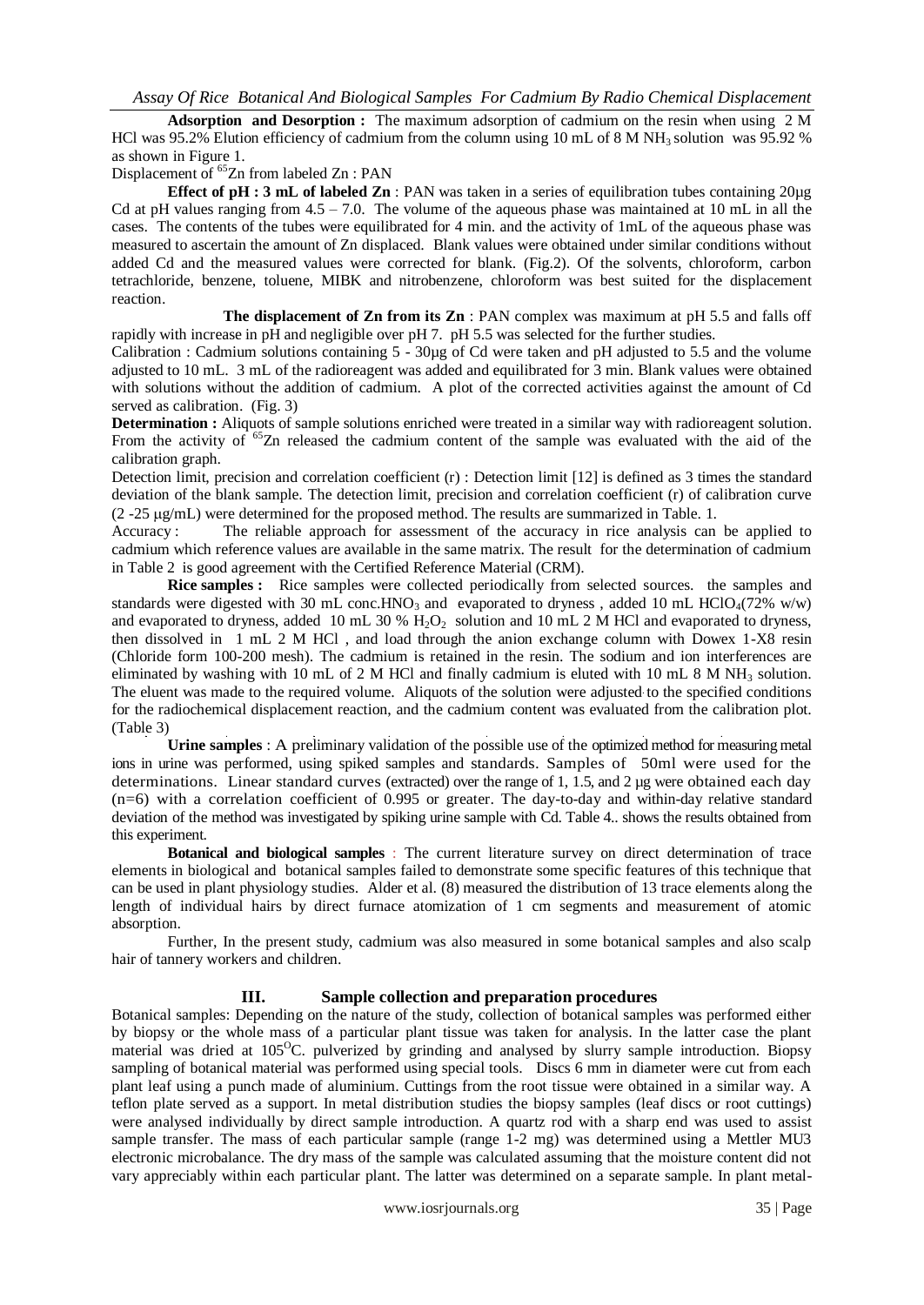**Adsorption and Desorption :** The maximum adsorption of cadmium on the resin when using 2 M HCl was 95.2% Elution efficiency of cadmium from the column using 10 mL of 8 M NH<sub>3</sub> solution was 95.92 % as shown in Figure 1.

Displacement of <sup>65</sup>Zn from labeled Zn : PAN

**Effect of pH : 3 mL of labeled Zn** : PAN was taken in a series of equilibration tubes containing 20µg Cd at pH values ranging from  $4.5 - 7.0$ . The volume of the aqueous phase was maintained at 10 mL in all the cases. The contents of the tubes were equilibrated for 4 min. and the activity of 1mL of the aqueous phase was measured to ascertain the amount of Zn displaced. Blank values were obtained under similar conditions without added Cd and the measured values were corrected for blank. (Fig.2). Of the solvents, chloroform, carbon tetrachloride, benzene, toluene, MIBK and nitrobenzene, chloroform was best suited for the displacement reaction.

**The displacement of Zn from its Zn** : PAN complex was maximum at pH 5.5 and falls off rapidly with increase in pH and negligible over pH 7. pH 5.5 was selected for the further studies.

Calibration : Cadmium solutions containing 5 - 30µg of Cd were taken and pH adjusted to 5.5 and the volume adjusted to 10 mL. 3 mL of the radioreagent was added and equilibrated for 3 min. Blank values were obtained with solutions without the addition of cadmium. A plot of the corrected activities against the amount of Cd served as calibration. (Fig. 3)

**Determination :** Aliquots of sample solutions enriched were treated in a similar way with radioreagent solution. From the activity of <sup>65</sup>Zn released the cadmium content of the sample was evaluated with the aid of the calibration graph.

Detection limit, precision and correlation coefficient (r) : Detection limit [12] is defined as 3 times the standard deviation of the blank sample. The detection limit, precision and correlation coefficient (r) of calibration curve  $(2 - 25 \mu g/mL)$  were determined for the proposed method. The results are summarized in Table. 1.

Accuracy : The reliable approach for assessment of the accuracy in rice analysis can be applied to cadmium which reference values are available in the same matrix. The result for the determination of cadmium in Table 2 is good agreement with the Certified Reference Material (CRM).

**Rice samples :** Rice samples were collected periodically from selected sources. the samples and standards were digested with 30 mL conc.HNO<sub>3</sub> and evaporated to dryness, added 10 mL HClO<sub>4</sub>(72% w/w) and evaporated to dryness, added 10 mL 30 %  $H_2O_2$  solution and 10 mL 2 M HCl and evaporated to dryness, then dissolved in 1 mL 2 M HCl , and load through the anion exchange column with Dowex 1-X8 resin (Chloride form 100-200 mesh). The cadmium is retained in the resin. The sodium and ion interferences are eliminated by washing with 10 mL of 2 M HCl and finally cadmium is eluted with 10 mL 8 M NH<sub>3</sub> solution. The eluent was made to the required volume. Aliquots of the solution were adjusted to the specified conditions for the radiochemical displacement reaction, and the cadmium content was evaluated from the calibration plot. (Table 3)

**Urine samples** : A preliminary validation of the possible use of the optimized method for measuring metal ions in urine was performed, using spiked samples and standards. Samples of 50ml were used for the determinations. Linear standard curves (extracted) over the range of 1, 1.5, and 2 µg were obtained each day (n=6) with a correlation coefficient of 0.995 or greater. The day-to-day and within-day relative standard deviation of the method was investigated by spiking urine sample with Cd. Table 4.. shows the results obtained from this experiment.

**Botanical and biological samples** : The current literature survey on direct determination of trace elements in biological and botanical samples failed to demonstrate some specific features of this technique that can be used in plant physiology studies. Alder et al. (8) measured the distribution of 13 trace elements along the length of individual hairs by direct furnace atomization of 1 cm segments and measurement of atomic absorption.

Further, In the present study, cadmium was also measured in some botanical samples and also scalp hair of tannery workers and children.

### **III. Sample collection and preparation procedures**

Botanical samples: Depending on the nature of the study, collection of botanical samples was performed either by biopsy or the whole mass of a particular plant tissue was taken for analysis. In the latter case the plant material was dried at 105<sup>o</sup>C. pulverized by grinding and analysed by slurry sample introduction. Biopsy sampling of botanical material was performed using special tools. Discs 6 mm in diameter were cut from each plant leaf using a punch made of aluminium. Cuttings from the root tissue were obtained in a similar way. A teflon plate served as a support. In metal distribution studies the biopsy samples (leaf discs or root cuttings) were analysed individually by direct sample introduction. A quartz rod with a sharp end was used to assist sample transfer. The mass of each particular sample (range 1-2 mg) was determined using a Mettler MU3 electronic microbalance. The dry mass of the sample was calculated assuming that the moisture content did not vary appreciably within each particular plant. The latter was determined on a separate sample. In plant metal-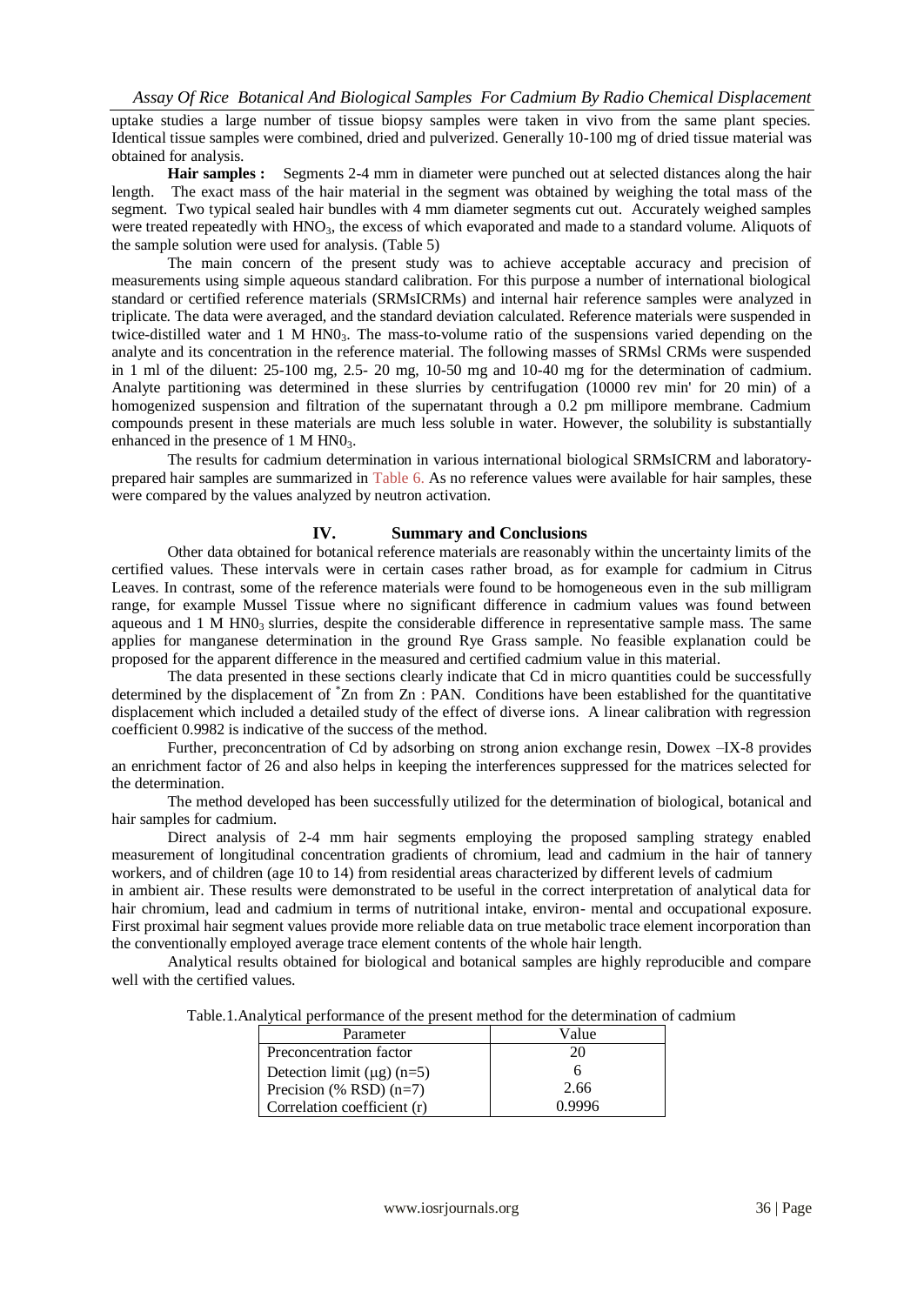uptake studies a large number of tissue biopsy samples were taken in vivo from the same plant species. Identical tissue samples were combined, dried and pulverized. Generally 10-100 mg of dried tissue material was obtained for analysis.

**Hair samples :** Segments 2-4 mm in diameter were punched out at selected distances along the hair length. The exact mass of the hair material in the segment was obtained by weighing the total mass of the segment. Two typical sealed hair bundles with 4 mm diameter segments cut out. Accurately weighed samples were treated repeatedly with HNO<sub>3</sub>, the excess of which evaporated and made to a standard volume. Aliquots of the sample solution were used for analysis. (Table 5)

The main concern of the present study was to achieve acceptable accuracy and precision of measurements using simple aqueous standard calibration. For this purpose a number of international biological standard or certified reference materials (SRMsICRMs) and internal hair reference samples were analyzed in triplicate. The data were averaged, and the standard deviation calculated. Reference materials were suspended in twice-distilled water and  $1 \text{ M HNO}_3$ . The mass-to-volume ratio of the suspensions varied depending on the analyte and its concentration in the reference material. The following masses of SRMsl CRMs were suspended in 1 ml of the diluent: 25-100 mg, 2.5- 20 mg, 10-50 mg and 10-40 mg for the determination of cadmium. Analyte partitioning was determined in these slurries by centrifugation (10000 rev min' for 20 min) of a homogenized suspension and filtration of the supernatant through a 0.2 pm millipore membrane. Cadmium compounds present in these materials are much less soluble in water. However, the solubility is substantially enhanced in the presence of  $1 \text{ M HNO}_3$ .

The results for cadmium determination in various international biological SRMsICRM and laboratoryprepared hair samples are summarized in Table 6. As no reference values were available for hair samples, these were compared by the values analyzed by neutron activation.

### **IV. Summary and Conclusions**

Other data obtained for botanical reference materials are reasonably within the uncertainty limits of the certified values. These intervals were in certain cases rather broad, as for example for cadmium in Citrus Leaves. In contrast, some of the reference materials were found to be homogeneous even in the sub milligram range, for example Mussel Tissue where no significant difference in cadmium values was found between aqueous and  $1 \text{ M HNO}_3$  slurries, despite the considerable difference in representative sample mass. The same applies for manganese determination in the ground Rye Grass sample. No feasible explanation could be proposed for the apparent difference in the measured and certified cadmium value in this material.

The data presented in these sections clearly indicate that Cd in micro quantities could be successfully determined by the displacement of \*Zn from Zn : PAN. Conditions have been established for the quantitative displacement which included a detailed study of the effect of diverse ions. A linear calibration with regression coefficient 0.9982 is indicative of the success of the method.

Further, preconcentration of Cd by adsorbing on strong anion exchange resin, Dowex –IX-8 provides an enrichment factor of 26 and also helps in keeping the interferences suppressed for the matrices selected for the determination.

The method developed has been successfully utilized for the determination of biological, botanical and hair samples for cadmium.

Direct analysis of 2-4 mm hair segments employing the proposed sampling strategy enabled measurement of longitudinal concentration gradients of chromium, lead and cadmium in the hair of tannery workers, and of children (age 10 to 14) from residential areas characterized by different levels of cadmium

in ambient air. These results were demonstrated to be useful in the correct interpretation of analytical data for hair chromium, lead and cadmium in terms of nutritional intake, environ- mental and occupational exposure. First proximal hair segment values provide more reliable data on true metabolic trace element incorporation than the conventionally employed average trace element contents of the whole hair length.

Analytical results obtained for biological and botanical samples are highly reproducible and compare well with the certified values.

Table.1.Analytical performance of the present method for the determination of cadmium

| Parameter                       | Value  |
|---------------------------------|--------|
| Preconcentration factor         | 20     |
| Detection limit $(\mu g)$ (n=5) | h      |
| Precision (% RSD) $(n=7)$       | 2.66   |
| Correlation coefficient (r)     | 0.9996 |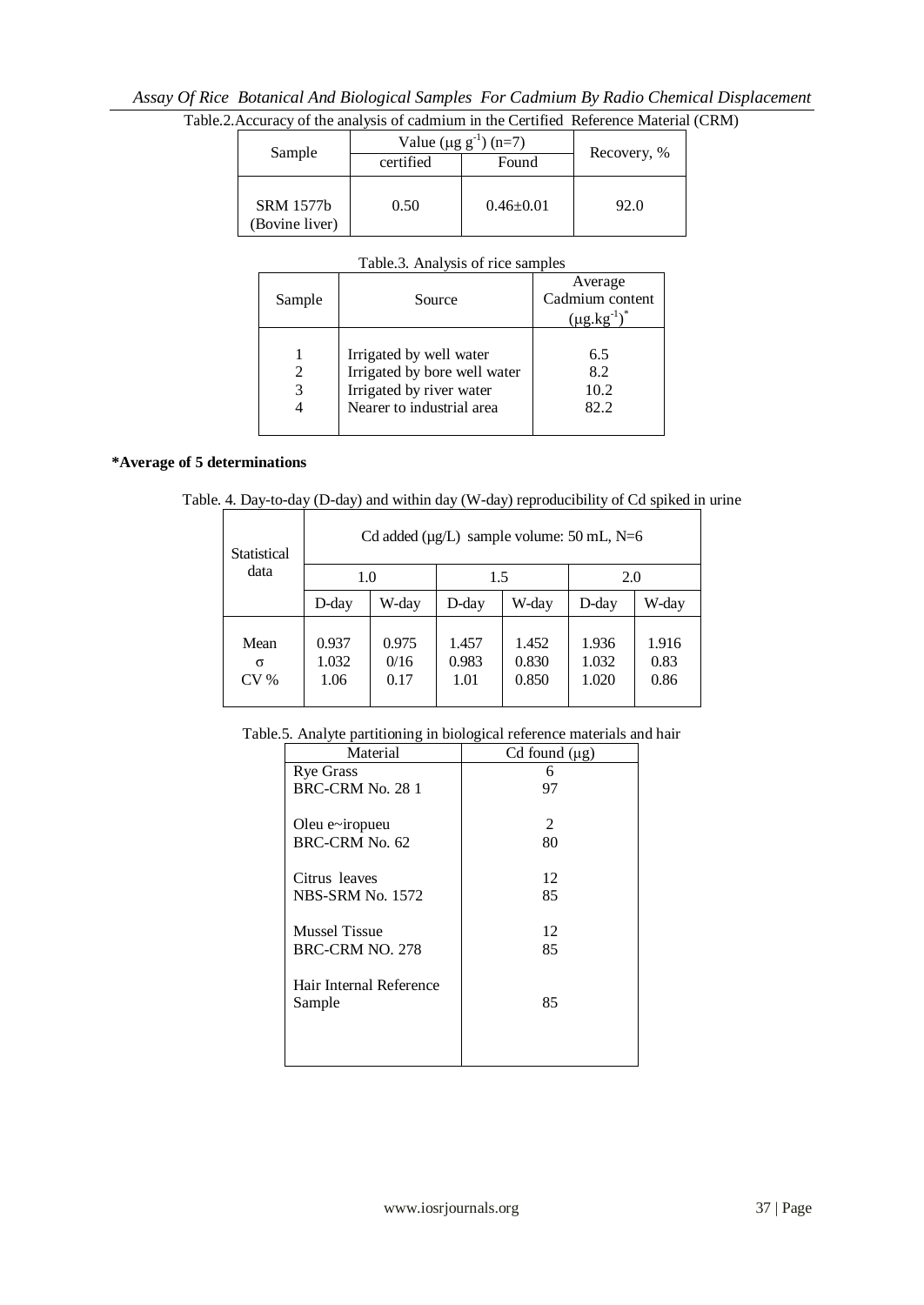# *Assay Of Rice Botanical And Biological Samples For Cadmium By Radio Chemical Displacement*

|  |  |  |  |  |  | Table.2. Accuracy of the analysis of cadmium in the Certified Reference Material (CRM) |  |
|--|--|--|--|--|--|----------------------------------------------------------------------------------------|--|
|--|--|--|--|--|--|----------------------------------------------------------------------------------------|--|

|                             | Value ( $\mu$ g g <sup>-1</sup> ) (n=7) | Recovery, %     |      |
|-----------------------------|-----------------------------------------|-----------------|------|
| Sample                      | certified<br>Found                      |                 |      |
| SRM 1577b<br>(Bovine liver) | 0.50                                    | $0.46 \pm 0.01$ | 92.0 |

| Sample | Source                                                                                                           | Average<br>Cadmium content<br>$(\mu g.kg^{-1})$ |
|--------|------------------------------------------------------------------------------------------------------------------|-------------------------------------------------|
|        | Irrigated by well water<br>Irrigated by bore well water<br>Irrigated by river water<br>Nearer to industrial area | 6.5<br>8.2<br>10.2<br>82.2                      |

## **\*Average of 5 determinations**

|  | Table. 4. Day-to-day (D-day) and within day (W-day) reproducibility of Cd spiked in urine |  |  |  |
|--|-------------------------------------------------------------------------------------------|--|--|--|
|  |                                                                                           |  |  |  |

| Statistical                | Cd added ( $\mu$ g/L) sample volume: 50 mL, N=6 |                       |                        |                         |                         |                       |
|----------------------------|-------------------------------------------------|-----------------------|------------------------|-------------------------|-------------------------|-----------------------|
| data                       | 1.0                                             |                       | 1.5                    |                         | 2.0                     |                       |
|                            | D-day                                           | W-day                 | D-day                  | W-day                   | D-day                   | W-day                 |
| Mean<br>$\sigma$<br>$CV\%$ | 0.937<br>1.032<br>1.06                          | 0.975<br>0/16<br>0.17 | 1.457<br>0.983<br>1.01 | 1.452<br>0.830<br>0.850 | 1.936<br>1.032<br>1.020 | 1.916<br>0.83<br>0.86 |

Table.5. Analyte partitioning in biological reference materials and hair

| Material                | Cd found $(\mu g)$ |
|-------------------------|--------------------|
| <b>Rye Grass</b>        | 6                  |
| BRC-CRM No. 28 1        | 97                 |
|                         |                    |
| Oleu e $\sim$ iropueu   | 2                  |
| BRC-CRM No. 62          | 80                 |
|                         |                    |
| Citrus leaves           | 12                 |
| <b>NBS-SRM No. 1572</b> | 85                 |
|                         |                    |
| <b>Mussel Tissue</b>    | 12                 |
| BRC-CRM NO. 278         | 85                 |
|                         |                    |
| Hair Internal Reference |                    |
| Sample                  | 85                 |
|                         |                    |
|                         |                    |
|                         |                    |